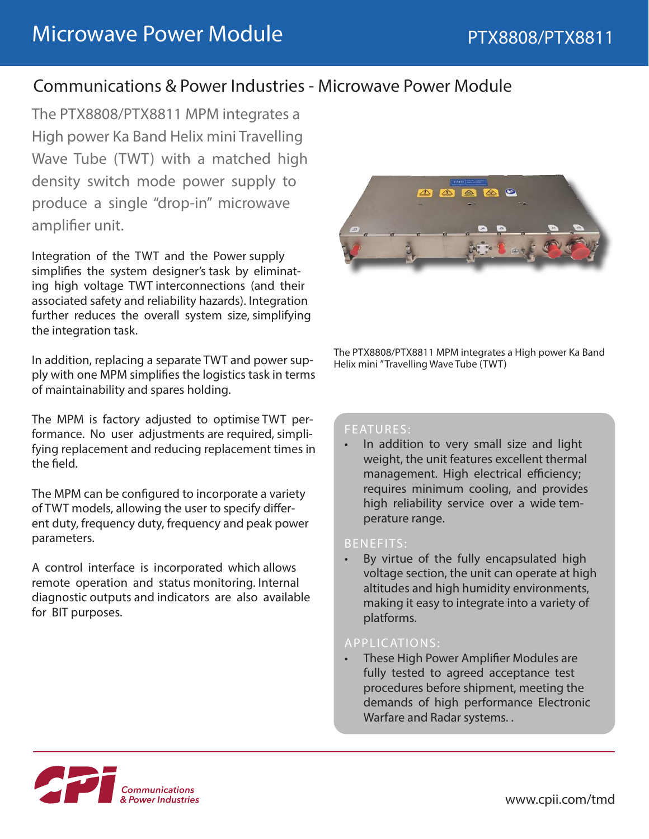# Communications & Power Industries - Microwave Power Module

The PTX8808/PTX8811 MPM integrates a High power Ka Band Helix mini Travelling Wave Tube (TWT) with a matched high density switch mode power supply to produce a single "drop-in" microwave amplifier unit.

Integration of the TWT and the Power supply simplifies the system designer's task by eliminating high voltage TWT interconnections (and their associated safety and reliability hazards). Integration further reduces the overall system size, simplifying the integration task.

In addition, replacing a separate TWT and power supply with one MPM simplifies the logistics task in terms of maintainability and spares holding.

The MPM is factory adjusted to optimise TWT performance. No user adjustments are required, simplifying replacement and reducing replacement times in the field.

The MPM can be configured to incorporate a variety of TWT models, allowing the user to specify different duty, frequency duty, frequency and peak power parameters.

A control interface is incorporated which allows remote operation and status monitoring. Internal diagnostic outputs and indicators are also available for BIT purposes.



The PTX8808/PTX8811 MPM integrates a High power Ka Band Helix mini " Travelling Wave Tube (TWT)

#### FEATURES:

In addition to very small size and light weight, the unit features excellent thermal management. High electrical efficiency; requires minimum cooling, and provides high reliability service over a wide temperature range.

#### BENEFITS:

By virtue of the fully encapsulated high voltage section, the unit can operate at high altitudes and high humidity environments, making it easy to integrate into a variety of platforms.

#### APPLICATIONS:

• These High Power Amplifier Modules are fully tested to agreed acceptance test procedures before shipment, meeting the demands of high performance Electronic Warfare and Radar systems. .

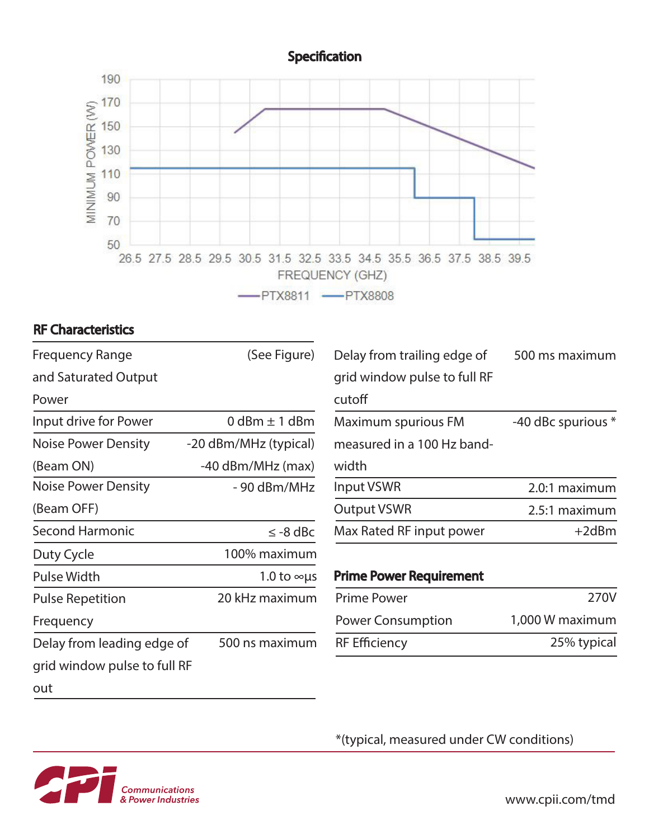## **Specification**



## RF Characteristics

| <b>Frequency Range</b>       | (See Figure)          | Delay from trailing edge of    | 500 ms maximum     |
|------------------------------|-----------------------|--------------------------------|--------------------|
| and Saturated Output         |                       | grid window pulse to full RF   |                    |
| Power                        |                       | cutoff                         |                    |
| Input drive for Power        | 0 dBm $\pm$ 1 dBm     | Maximum spurious FM            | -40 dBc spurious * |
| <b>Noise Power Density</b>   | -20 dBm/MHz (typical) | measured in a 100 Hz band-     |                    |
| (Beam ON)                    | -40 dBm/MHz (max)     | width                          |                    |
| <b>Noise Power Density</b>   | - 90 dBm/MHz          | Input VSWR                     | 2.0:1 maximum      |
| (Beam OFF)                   |                       | <b>Output VSWR</b>             | 2.5:1 maximum      |
| <b>Second Harmonic</b>       | $\leq$ -8 dBc         | Max Rated RF input power       | $+2dBm$            |
| Duty Cycle                   | 100% maximum          |                                |                    |
| <b>Pulse Width</b>           | 1.0 to $\infty$ us    | <b>Prime Power Requirement</b> |                    |
| <b>Pulse Repetition</b>      | 20 kHz maximum        | <b>Prime Power</b>             | 270V               |
| Frequency                    |                       | <b>Power Consumption</b>       | 1,000 W maximum    |
| Delay from leading edge of   | 500 ns maximum        | <b>RF Efficiency</b>           | 25% typical        |
| grid window pulse to full RF |                       |                                |                    |
| out                          |                       |                                |                    |

\*(typical, measured under CW conditions)



www.cpii.com/tmd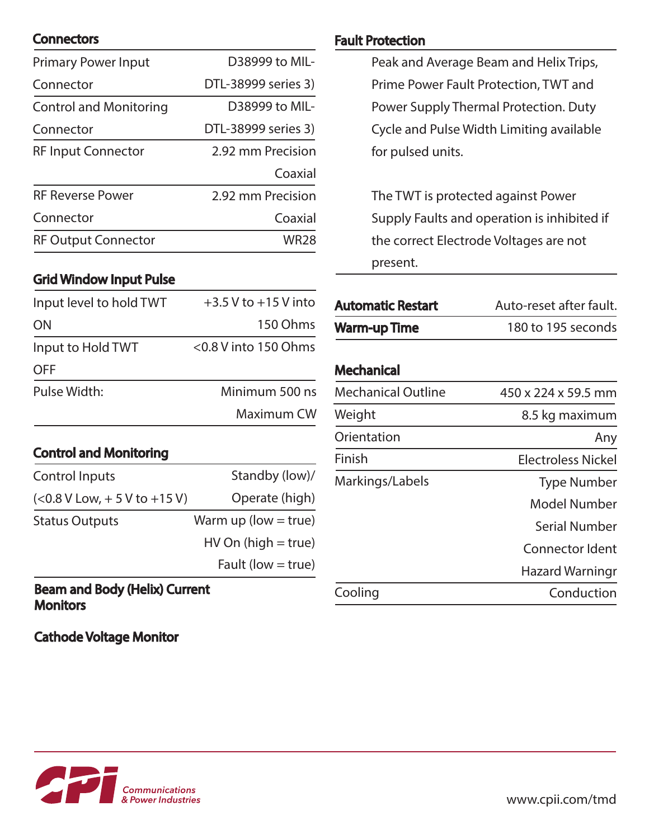## **Connectors**

| <b>Primary Power Input</b>    | D38999 to MIL-      |
|-------------------------------|---------------------|
| Connector                     | DTL-38999 series 3) |
| <b>Control and Monitoring</b> | D38999 to MIL-      |
| Connector                     | DTL-38999 series 3) |
| <b>RF Input Connector</b>     | 2.92 mm Precision   |
|                               | Coaxial             |
| <b>RF Reverse Power</b>       | 2.92 mm Precision   |
| Connector                     | Coaxial             |
| <b>RF Output Connector</b>    | WR28                |

#### Grid Window Input Pulse

| Input level to hold TWT | $+3.5$ V to $+15$ V into |
|-------------------------|--------------------------|
| <b>ON</b>               | 150 Ohms                 |
| Input to Hold TWT       | $<$ 0.8 V into 150 Ohms  |
| <b>OFF</b>              |                          |
| Pulse Width:            | Minimum 500 ns           |
|                         | Maximum CW               |

### Control and Monitoring

| Control Inputs                 | Standby (low)/          |
|--------------------------------|-------------------------|
| $(<0.8 V Low, + 5 V to +15 V)$ | Operate (high)          |
| <b>Status Outputs</b>          | Warm up (low $=$ true)  |
|                                | $HV$ On (high $=$ true) |
|                                | Fault (low $=$ true)    |
|                                |                         |

#### Beam and Body (Helix) Current **Monitors**

Cathode Voltage Monitor

### Fault Protection

Peak and Average Beam and Helix Trips, Prime Power Fault Protection, TWT and Power Supply Thermal Protection. Duty Cycle and Pulse Width Limiting available for pulsed units.

The TWT is protected against Power Supply Faults and operation is inhibited if the correct Electrode Voltages are not present.

| Auto-reset after fault. |
|-------------------------|
| 180 to 195 seconds      |
|                         |

## **Mechanical**

| <b>Mechanical Outline</b> | 450 x 224 x 59.5 mm       |
|---------------------------|---------------------------|
| Weight                    | 8.5 kg maximum            |
| Orientation               | Any                       |
| Finish                    | <b>Electroless Nickel</b> |
| Markings/Labels           | <b>Type Number</b>        |
|                           | Model Number              |
|                           | <b>Serial Number</b>      |
|                           | Connector Ident           |
|                           | Hazard Warningr           |
| Cooling                   | Conduction                |
|                           |                           |